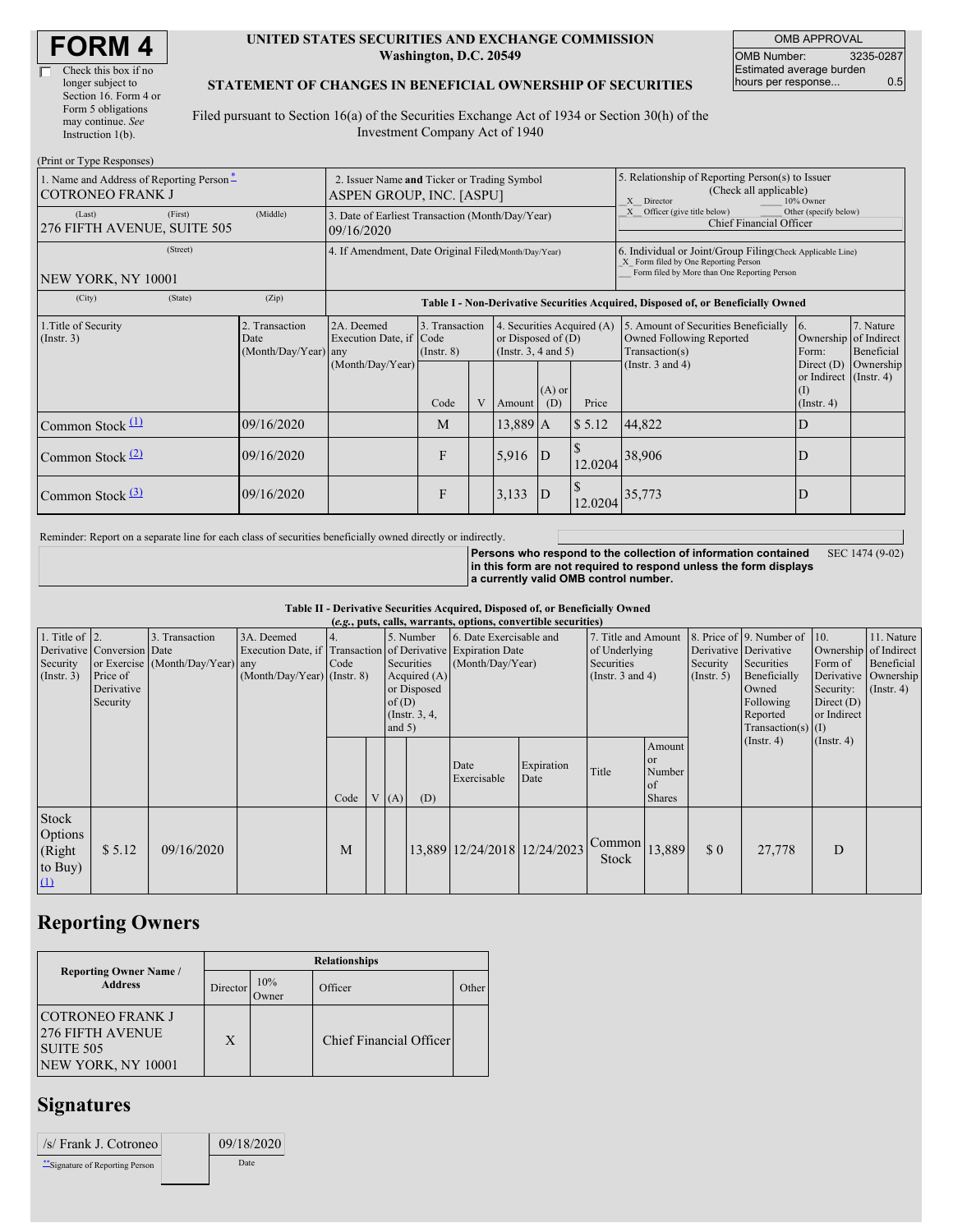| <b>FORM4</b> |
|--------------|
|--------------|

| Check this box if no  |
|-----------------------|
| longer subject to     |
| Section 16. Form 4 or |
| Form 5 obligations    |
| may continue. See     |
| Instruction 1(b).     |
|                       |

 $(D_{\text{wint on}}$  Type  $D_{\text{c}}$ 

#### **UNITED STATES SECURITIES AND EXCHANGE COMMISSION Washington, D.C. 20549**

OMB APPROVAL OMB Number: 3235-0287 Estimated average burden hours per response... 0.5

#### **STATEMENT OF CHANGES IN BENEFICIAL OWNERSHIP OF SECURITIES**

Filed pursuant to Section 16(a) of the Securities Exchange Act of 1934 or Section 30(h) of the Investment Company Act of 1940

| (PTHIL OF Type Responses)<br>1. Name and Address of Reporting Person-<br><b>COTRONEO FRANK J</b><br>(First)<br>(Last)<br>276 FIFTH AVENUE, SUITE 505 | (Middle)                                       | 2. Issuer Name and Ticker or Trading Symbol<br>ASPEN GROUP, INC. [ASPU]<br>3. Date of Earliest Transaction (Month/Day/Year) |                                   |   |                                                                                |                 |                                                                                                                                                    | 5. Relationship of Reporting Person(s) to Issuer<br>(Check all applicable)<br>X Director<br>10% Owner<br>Officer (give title below)<br>Other (specify below)<br>X<br><b>Chief Financial Officer</b> |                                                                   |                         |  |
|------------------------------------------------------------------------------------------------------------------------------------------------------|------------------------------------------------|-----------------------------------------------------------------------------------------------------------------------------|-----------------------------------|---|--------------------------------------------------------------------------------|-----------------|----------------------------------------------------------------------------------------------------------------------------------------------------|-----------------------------------------------------------------------------------------------------------------------------------------------------------------------------------------------------|-------------------------------------------------------------------|-------------------------|--|
| (Street)<br>NEW YORK, NY 10001                                                                                                                       |                                                | 09/16/2020<br>4. If Amendment, Date Original Filed(Month/Day/Year)                                                          |                                   |   |                                                                                |                 | 6. Individual or Joint/Group Filing Check Applicable Line)<br>X Form filed by One Reporting Person<br>Form filed by More than One Reporting Person |                                                                                                                                                                                                     |                                                                   |                         |  |
| (City)<br>(State)                                                                                                                                    | (Zip)                                          | Table I - Non-Derivative Securities Acquired, Disposed of, or Beneficially Owned                                            |                                   |   |                                                                                |                 |                                                                                                                                                    |                                                                                                                                                                                                     |                                                                   |                         |  |
| 1. Title of Security<br>(Insert. 3)                                                                                                                  | 2. Transaction<br>Date<br>(Month/Day/Year) any | 2A. Deemed<br>Execution Date, if Code                                                                                       | 3. Transaction<br>$($ Instr. $8)$ |   | 4. Securities Acquired (A)<br>or Disposed of $(D)$<br>(Instr. $3, 4$ and $5$ ) |                 |                                                                                                                                                    | 5. Amount of Securities Beneficially<br>Owned Following Reported<br>Transaction(s)                                                                                                                  | <b>16.</b><br>Ownership of Indirect<br>Form:                      | 7. Nature<br>Beneficial |  |
|                                                                                                                                                      |                                                | (Month/Day/Year)                                                                                                            | Code                              | V | Amount                                                                         | $(A)$ or<br>(D) | Price                                                                                                                                              | (Instr. $3$ and $4$ )                                                                                                                                                                               | Direct $(D)$<br>or Indirect (Instr. 4)<br>(1)<br>$($ Instr. 4 $)$ | Ownership               |  |
| Common Stock $(1)$                                                                                                                                   | 09/16/2020                                     |                                                                                                                             | M                                 |   | 13,889 A                                                                       |                 | \$5.12                                                                                                                                             | 44,822                                                                                                                                                                                              | D                                                                 |                         |  |
| Common Stock $(2)$                                                                                                                                   | 09/16/2020                                     |                                                                                                                             | $\mathbf{F}$                      |   | 5,916                                                                          | D               | 12.0204                                                                                                                                            | 38,906                                                                                                                                                                                              | D                                                                 |                         |  |
| Common Stock $\frac{3}{2}$                                                                                                                           | 09/16/2020                                     |                                                                                                                             | F                                 |   | 3,133                                                                          | $\overline{D}$  | 12.0204                                                                                                                                            | 35,773                                                                                                                                                                                              | D                                                                 |                         |  |

Reminder: Report on a separate line for each class of securities beneficially owned directly or indirectly.

**Persons who respond to the collection of information contained in this form are not required to respond unless the form displays a currently valid OMB control number.** SEC 1474 (9-02)

**Table II - Derivative Securities Acquired, Disposed of, or Beneficially Owned**

| (e.g., puts, calls, warrants, options, convertible securities) |                                                                  |                                                    |                                             |                                                                                                                                                                             |  |     |                                             |                              |                                                                             |                 |                                                            |                                                                                                                  |                                                                    |                                                                                            |  |
|----------------------------------------------------------------|------------------------------------------------------------------|----------------------------------------------------|---------------------------------------------|-----------------------------------------------------------------------------------------------------------------------------------------------------------------------------|--|-----|---------------------------------------------|------------------------------|-----------------------------------------------------------------------------|-----------------|------------------------------------------------------------|------------------------------------------------------------------------------------------------------------------|--------------------------------------------------------------------|--------------------------------------------------------------------------------------------|--|
| 1. Title of $\vert$ 2.<br>Security<br>(Insert. 3)              | Derivative Conversion Date<br>Price of<br>Derivative<br>Security | 3. Transaction<br>or Exercise (Month/Day/Year) any | 3A. Deemed<br>$(Month/Day/Year)$ (Instr. 8) | 5. Number<br>Execution Date, if Transaction of Derivative Expiration Date<br>Securities<br>Code<br>Acquired $(A)$<br>or Disposed<br>of $(D)$<br>(Instr. $3, 4,$<br>and $5)$ |  |     | 6. Date Exercisable and<br>(Month/Day/Year) |                              | 7. Title and Amount<br>of Underlying<br>Securities<br>(Instr. $3$ and $4$ ) |                 | Derivative Derivative<br>Security<br>(Insert. 5)           | 8. Price of 9. Number of<br>Securities<br>Beneficially<br>Owned<br>Following<br>Reported<br>$Transaction(s)$ (I) | $\vert$ 10.<br>Form of<br>Security:<br>Direct $(D)$<br>or Indirect | 11. Nature<br>Ownership of Indirect<br>Beneficial<br>Derivative Ownership<br>$($ Instr. 4) |  |
|                                                                |                                                                  |                                                    |                                             | Code                                                                                                                                                                        |  | (A) | (D)                                         | Date<br>Exercisable          | Expiration<br>Date                                                          | Title           | Amount<br><sub>or</sub><br>Number<br>  of<br><b>Shares</b> |                                                                                                                  | $($ Instr. 4 $)$                                                   | $($ Instr. 4 $)$                                                                           |  |
| Stock<br>Options<br>(Right<br>to Buy)<br>$\Omega$              | \$5.12                                                           | 09/16/2020                                         |                                             | M                                                                                                                                                                           |  |     |                                             | 13,889 12/24/2018 12/24/2023 |                                                                             | Common<br>Stock | 13,889                                                     | $\Omega$                                                                                                         | 27,778                                                             | D                                                                                          |  |

# **Reporting Owners**

|                                                                                 | <b>Relationships</b> |                     |                         |       |  |  |  |  |  |
|---------------------------------------------------------------------------------|----------------------|---------------------|-------------------------|-------|--|--|--|--|--|
| <b>Reporting Owner Name /</b><br><b>Address</b>                                 | Director             | 10%<br><b>Tymer</b> | Officer                 | Other |  |  |  |  |  |
| COTRONEO FRANK J<br>1276 FIFTH AVENUE<br><b>SUITE 505</b><br>NEW YORK, NY 10001 | X                    |                     | Chief Financial Officer |       |  |  |  |  |  |

## **Signatures**

| /s/ Frank J. Cotroneo         | 09/18/2020  |  |
|-------------------------------|-------------|--|
| Signature of Reporting Person | <b>Date</b> |  |